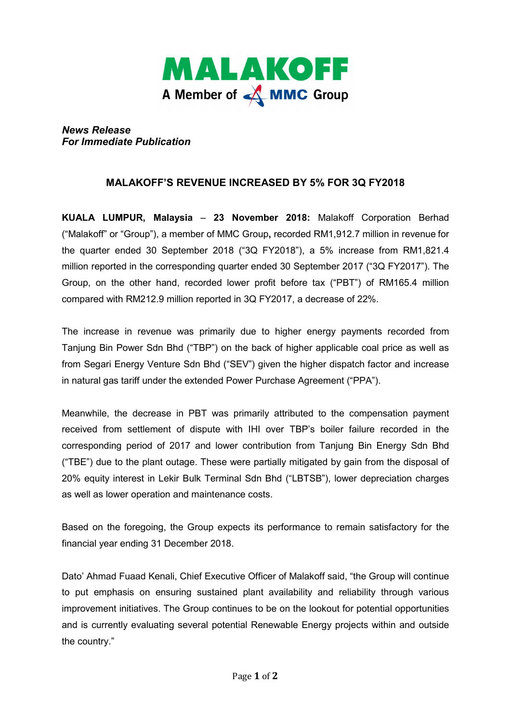

*News Release For Immediate Publication* 

## **MALAKOFF'S REVENUE INCREASED BY 5% FOR 3Q FY2018**

**KUALA LUMPUR, Malaysia** – **23 November 2018:** Malakoff Corporation Berhad ("Malakoff" or "Group"), a member of MMC Group**,** recorded RM1,912.7 million in revenue for the quarter ended 30 September 2018 ("3Q FY2018"), a 5% increase from RM1,821.4 million reported in the corresponding quarter ended 30 September 2017 ("3Q FY2017"). The Group, on the other hand, recorded lower profit before tax ("PBT") of RM165.4 million compared with RM212.9 million reported in 3Q FY2017, a decrease of 22%.

The increase in revenue was primarily due to higher energy payments recorded from Tanjung Bin Power Sdn Bhd ("TBP") on the back of higher applicable coal price as well as from Segari Energy Venture Sdn Bhd ("SEV") given the higher dispatch factor and increase in natural gas tariff under the extended Power Purchase Agreement ("PPA").

Meanwhile, the decrease in PBT was primarily attributed to the compensation payment received from settlement of dispute with IHI over TBP's boiler failure recorded in the corresponding period of 2017 and lower contribution from Tanjung Bin Energy Sdn Bhd ("TBE") due to the plant outage. These were partially mitigated by gain from the disposal of 20% equity interest in Lekir Bulk Terminal Sdn Bhd ("LBTSB"), lower depreciation charges as well as lower operation and maintenance costs.

Based on the foregoing, the Group expects its performance to remain satisfactory for the financial year ending 31 December 2018.

Dato' Ahmad Fuaad Kenali, Chief Executive Officer of Malakoff said, "the Group will continue to put emphasis on ensuring sustained plant availability and reliability through various improvement initiatives. The Group continues to be on the lookout for potential opportunities and is currently evaluating several potential Renewable Energy projects within and outside the country."